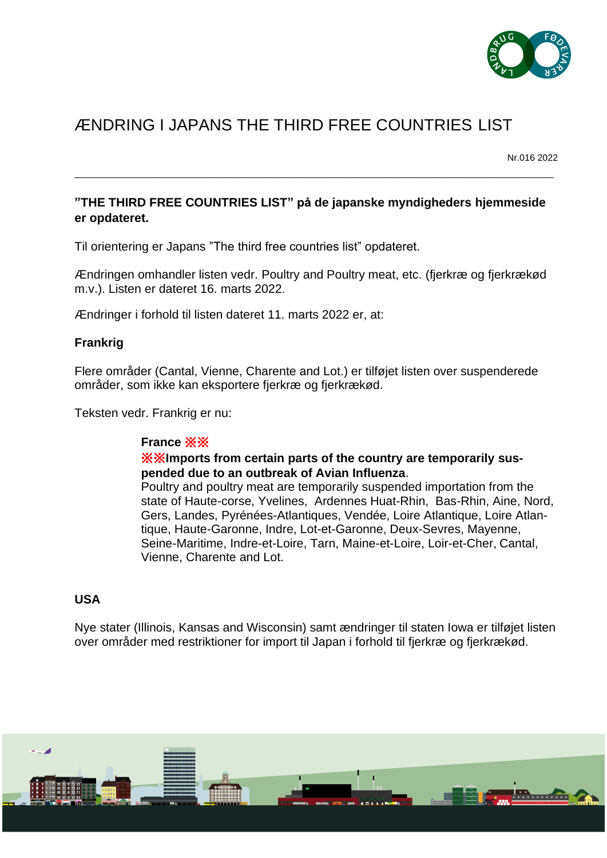

# ÆNDRING I JAPANS THE THIRD FREE COUNTRIES LIST

Nr.016 2022

## **"THE THIRD FREE COUNTRIES LIST" på de japanske myndigheders hjemmeside er opdateret.**

\_\_\_\_\_\_\_\_\_\_\_\_\_\_\_\_\_\_\_\_\_\_\_\_\_\_\_\_\_\_\_\_\_\_\_\_\_\_\_\_\_\_\_\_\_\_\_\_\_\_\_\_\_\_\_\_\_\_\_\_\_\_\_\_\_\_\_\_\_\_\_\_\_\_\_\_\_\_\_\_\_\_\_\_\_\_\_\_\_\_\_\_\_\_

Til orientering er Japans "The third free countries list" opdateret.

Ændringen omhandler listen vedr. Poultry and Poultry meat, etc. (fjerkræ og fjerkrækød m.v.). Listen er dateret 16. marts 2022.

Ændringer i forhold til listen dateret 11. marts 2022 er, at:

#### **Frankrig**

Flere områder (Cantal, Vienne, Charente and Lot.) er tilføjet listen over suspenderede områder, som ikke kan eksportere fjerkræ og fjerkrækød.

Teksten vedr. Frankrig er nu:

#### **France** ※※

#### ※※**Imports from certain parts of the country are temporarily suspended due to an outbreak of Avian Influenza**.

Poultry and poultry meat are temporarily suspended importation from the state of Haute-corse, Yvelines, Ardennes Huat-Rhin, Bas-Rhin, Aine, Nord, Gers, Landes, Pyrénées-Atlantiques, Vendée, Loire Atlantique, Loire Atlantique, Haute-Garonne, Indre, Lot-et-Garonne, Deux-Sevres, Mayenne, Seine-Maritime, Indre-et-Loire, Tarn, Maine-et-Loire, Loir-et-Cher, Cantal, Vienne, Charente and Lot.

#### **USA**

Nye stater (Illinois, Kansas and Wisconsin) samt ændringer til staten Iowa er tilføjet listen over områder med restriktioner for import til Japan i forhold til fjerkræ og fjerkrækød.